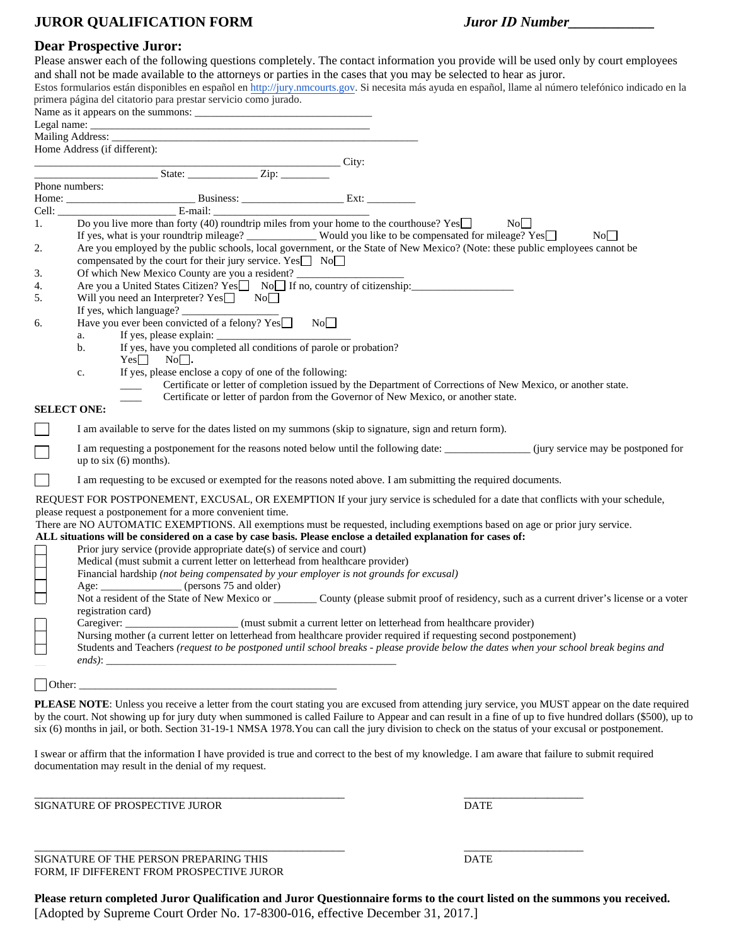## **JUROR QUALIFICATION FORM** *Juror ID Number\_\_\_\_\_\_\_\_\_\_\_\_*

## **Dear Prospective Juror:**

|                    | Deal 11 oppeen ve oan om                                                                                                                                                                                                       |
|--------------------|--------------------------------------------------------------------------------------------------------------------------------------------------------------------------------------------------------------------------------|
|                    | Please answer each of the following questions completely. The contact information you provide will be used only by court employees                                                                                             |
|                    | and shall not be made available to the attorneys or parties in the cases that you may be selected to hear as juror.                                                                                                            |
|                    | Estos formularios están disponibles en español en http://jury.nmcourts.gov. Si necesita más ayuda en español, llame al número telefónico indicado en la                                                                        |
|                    | primera página del citatorio para prestar servicio como jurado.                                                                                                                                                                |
|                    |                                                                                                                                                                                                                                |
|                    |                                                                                                                                                                                                                                |
|                    |                                                                                                                                                                                                                                |
|                    | Home Address (if different):                                                                                                                                                                                                   |
|                    | City:                                                                                                                                                                                                                          |
|                    | Phone numbers:                                                                                                                                                                                                                 |
|                    |                                                                                                                                                                                                                                |
|                    | From the numbers.<br>Home: $\frac{E-mail:}{E-mail:}\n$ E-mail: $\frac{E-mail:}{1.}$ Do you live more than forty (40) roundtrip miles from your home to the courthouse? Yes                                                     |
|                    | No                                                                                                                                                                                                                             |
|                    |                                                                                                                                                                                                                                |
| 2.                 | If yes, what is your roundtrip mileage? Would you like to be compensated for mileage? Yes NoO NoO Are you employed by the public schools, local government, or the State of New Mexico? (Note: these public employees cannot b |
|                    | compensated by the court for their jury service. Yes $\Box$ No $\Box$                                                                                                                                                          |
| 3.                 | Of which New Mexico County are you a resident?                                                                                                                                                                                 |
| 4.                 | Are you a United States Citizen? Yes<br>No If no, country of citizenship:                                                                                                                                                      |
| 5.                 | Will you need an Interpreter? Yes <sup>1</sup> No                                                                                                                                                                              |
|                    |                                                                                                                                                                                                                                |
| 6.                 | Have you ever been convicted of a felony? $Yes \Box$ No.                                                                                                                                                                       |
|                    | a.                                                                                                                                                                                                                             |
|                    | $\mathbf{b}$ .                                                                                                                                                                                                                 |
|                    | Yes No.                                                                                                                                                                                                                        |
|                    | If yes, please enclose a copy of one of the following:<br>$\mathbf{c}$ .                                                                                                                                                       |
|                    | Certificate or letter of completion issued by the Department of Corrections of New Mexico, or another state.                                                                                                                   |
|                    | Certificate or letter of pardon from the Governor of New Mexico, or another state.                                                                                                                                             |
| <b>SELECT ONE:</b> |                                                                                                                                                                                                                                |
|                    |                                                                                                                                                                                                                                |
|                    | I am available to serve for the dates listed on my summons (skip to signature, sign and return form).                                                                                                                          |
|                    | I am requesting a postponement for the reasons noted below until the following date: _______________(jury service may be postponed for                                                                                         |
|                    | up to $six(6)$ months).                                                                                                                                                                                                        |
|                    |                                                                                                                                                                                                                                |
|                    | I am requesting to be excused or exempted for the reasons noted above. I am submitting the required documents.                                                                                                                 |
|                    | REQUEST FOR POSTPONEMENT, EXCUSAL, OR EXEMPTION If your jury service is scheduled for a date that conflicts with your schedule,                                                                                                |
|                    | please request a postponement for a more convenient time.                                                                                                                                                                      |
|                    | There are NO AUTOMATIC EXEMPTIONS. All exemptions must be requested, including exemptions based on age or prior jury service.                                                                                                  |
|                    | ALL situations will be considered on a case by case basis. Please enclose a detailed explanation for cases of:                                                                                                                 |
|                    | Prior jury service (provide appropriate date(s) of service and court)                                                                                                                                                          |
|                    | Medical (must submit a current letter on letterhead from healthcare provider)                                                                                                                                                  |
|                    | Financial hardship (not being compensated by your employer is not grounds for excusal)                                                                                                                                         |
|                    | Age: __________________ (persons 75 and older)                                                                                                                                                                                 |
|                    | Not a resident of the State of New Mexico or County (please submit proof of residency, such as a current driver's license or a voter                                                                                           |
|                    | registration card)                                                                                                                                                                                                             |
|                    | Caregiver:<br>(must submit a current letter on letterhead from healthcare provider)                                                                                                                                            |
|                    | Nursing mother (a current letter on letterhead from healthcare provider required if requesting second postponement)                                                                                                            |
|                    | Students and Teachers (request to be postponed until school breaks - please provide below the dates when your school break begins and                                                                                          |
|                    |                                                                                                                                                                                                                                |
|                    |                                                                                                                                                                                                                                |
| Other:             | <u> 1989 - Johann John Stoff, deutscher Stoffen und der Stoffen und der Stoffen und der Stoffen und der Stoffen</u>                                                                                                            |

PLEASE NOTE: Unless you receive a letter from the court stating you are excused from attending jury service, you MUST appear on the date required by the court. Not showing up for jury duty when summoned is called Failure to Appear and can result in a fine of up to five hundred dollars (\$500), up to six (6) months in jail, or both. Section 31-19-1 NMSA 1978.You can call the jury division to check on the status of your excusal or postponement.

I swear or affirm that the information I have provided is true and correct to the best of my knowledge. I am aware that failure to submit required documentation may result in the denial of my request.

\_\_\_\_\_\_\_\_\_\_\_\_\_\_\_\_\_\_\_\_\_\_\_\_\_\_\_\_\_\_\_\_\_\_\_\_\_\_\_\_\_\_\_\_\_\_\_\_\_\_\_\_ \_\_\_\_\_\_\_\_\_\_\_\_\_\_\_\_\_\_\_\_

SIGNATURE OF PROSPECTIVE JUROR **DATE** 

 $\_$  , and the set of the set of the set of the set of the set of the set of the set of the set of the set of the set of the set of the set of the set of the set of the set of the set of the set of the set of the set of th

SIGNATURE OF THE PERSON PREPARING THIS **SIGNATURE OF THE PERSON PREPARING THIS** FORM, IF DIFFERENT FROM PROSPECTIVE JUROR

**Please return completed Juror Qualification and Juror Questionnaire forms to the court listed on the summons you received.**  [Adopted by Supreme Court Order No. 17-8300-016, effective December 31, 2017.]